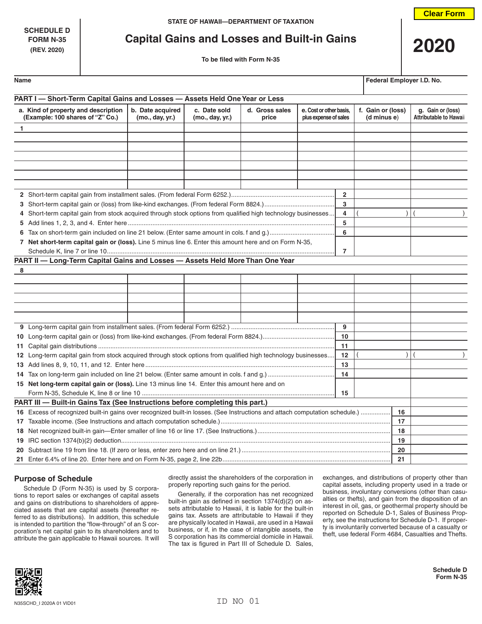**SCHEDULE D**

# **FORM N-35 Capital Gains and Losses and Built-in Gains**



| <b>FORM N-35</b><br>(REV. 2020) | Capital Gains and Losses and Bullt-in Gains |  |  |  |
|---------------------------------|---------------------------------------------|--|--|--|
|                                 | To be filed with Form N-35                  |  |  |  |

**Name Federal Employer I.D. No.**

| PART I - Short-Term Capital Gains and Losses - Assets Held One Year or Less                                                 |                                     |                                 |                         |                                                  |  |                                  |                                                    |  |  |
|-----------------------------------------------------------------------------------------------------------------------------|-------------------------------------|---------------------------------|-------------------------|--------------------------------------------------|--|----------------------------------|----------------------------------------------------|--|--|
| a. Kind of property and description<br>(Example: 100 shares of "Z" Co.)                                                     | b. Date acquired<br>(mo., day, yr.) | c. Date sold<br>(mo., day, yr.) | d. Gross sales<br>price | e. Cost or other basis,<br>plus expense of sales |  | f. Gain or (loss)<br>(d minus e) | g. Gain or (loss)<br><b>Attributable to Hawaii</b> |  |  |
| 1                                                                                                                           |                                     |                                 |                         |                                                  |  |                                  |                                                    |  |  |
|                                                                                                                             |                                     |                                 |                         |                                                  |  |                                  |                                                    |  |  |
|                                                                                                                             |                                     |                                 |                         |                                                  |  |                                  |                                                    |  |  |
|                                                                                                                             |                                     |                                 |                         |                                                  |  |                                  |                                                    |  |  |
|                                                                                                                             |                                     |                                 |                         |                                                  |  |                                  |                                                    |  |  |
|                                                                                                                             |                                     |                                 |                         |                                                  |  |                                  |                                                    |  |  |
|                                                                                                                             |                                     |                                 |                         |                                                  |  |                                  |                                                    |  |  |
|                                                                                                                             |                                     |                                 |                         | $\overline{2}$                                   |  |                                  |                                                    |  |  |
|                                                                                                                             |                                     |                                 |                         | 3                                                |  |                                  |                                                    |  |  |
| 4 Short-term capital gain from stock acquired through stock options from qualified high technology businesses               |                                     |                                 |                         | 4                                                |  |                                  |                                                    |  |  |
|                                                                                                                             |                                     |                                 |                         |                                                  |  |                                  |                                                    |  |  |
|                                                                                                                             |                                     |                                 |                         |                                                  |  |                                  |                                                    |  |  |
| 7 Net short-term capital gain or (loss). Line 5 minus line 6. Enter this amount here and on Form N-35,                      |                                     |                                 |                         |                                                  |  |                                  |                                                    |  |  |
|                                                                                                                             |                                     |                                 |                         | $\overline{7}$                                   |  |                                  |                                                    |  |  |
| PART II - Long-Term Capital Gains and Losses - Assets Held More Than One Year                                               |                                     |                                 |                         |                                                  |  |                                  |                                                    |  |  |
| 8                                                                                                                           |                                     |                                 |                         |                                                  |  |                                  |                                                    |  |  |
|                                                                                                                             |                                     |                                 |                         |                                                  |  |                                  |                                                    |  |  |
|                                                                                                                             |                                     |                                 |                         |                                                  |  |                                  |                                                    |  |  |
|                                                                                                                             |                                     |                                 |                         |                                                  |  |                                  |                                                    |  |  |
|                                                                                                                             |                                     |                                 |                         |                                                  |  |                                  |                                                    |  |  |
|                                                                                                                             |                                     |                                 |                         | 9                                                |  |                                  |                                                    |  |  |
|                                                                                                                             |                                     |                                 |                         |                                                  |  |                                  |                                                    |  |  |
|                                                                                                                             |                                     |                                 |                         |                                                  |  |                                  |                                                    |  |  |
| 12 Long-term capital gain from stock acquired through stock options from qualified high technology businesses               |                                     |                                 |                         |                                                  |  |                                  |                                                    |  |  |
|                                                                                                                             |                                     |                                 |                         |                                                  |  |                                  |                                                    |  |  |
|                                                                                                                             |                                     |                                 |                         |                                                  |  |                                  |                                                    |  |  |
| 15 Net long-term capital gain or (loss). Line 13 minus line 14. Enter this amount here and on                               |                                     |                                 |                         | 14                                               |  |                                  |                                                    |  |  |
|                                                                                                                             |                                     |                                 |                         |                                                  |  |                                  |                                                    |  |  |
| PART III - Built-in Gains Tax (See Instructions before completing this part.)                                               |                                     |                                 |                         |                                                  |  |                                  |                                                    |  |  |
| 16 Excess of recognized built-in gains over recognized built-in losses. (See Instructions and attach computation schedule.) |                                     |                                 |                         |                                                  |  | 16                               |                                                    |  |  |
|                                                                                                                             |                                     |                                 |                         |                                                  |  | 17                               |                                                    |  |  |
|                                                                                                                             |                                     |                                 |                         |                                                  |  |                                  |                                                    |  |  |
|                                                                                                                             | 19                                  |                                 |                         |                                                  |  |                                  |                                                    |  |  |
|                                                                                                                             | 20                                  |                                 |                         |                                                  |  |                                  |                                                    |  |  |
|                                                                                                                             |                                     |                                 |                         |                                                  |  |                                  |                                                    |  |  |
|                                                                                                                             |                                     |                                 |                         |                                                  |  |                                  |                                                    |  |  |

#### **Purpose of Schedule**

Schedule D (Form N-35) is used by S corporations to report sales or exchanges of capital assets and gains on distributions to shareholders of appreciated assets that are capital assets (hereafter referred to as distributions). In addition, this schedule is intended to partition the "flow-through" of an S corporation's net capital gain to its shareholders and to attribute the gain applicable to Hawaii sources. It will

directly assist the shareholders of the corporation in properly reporting such gains for the period.

Generally, if the corporation has net recognized built-in gain as defined in section 1374(d)(2) on assets attributable to Hawaii, it is liable for the built-in gains tax. Assets are attributable to Hawaii if they are physically located in Hawaii, are used in a Hawaii business, or if, in the case of intangible assets, the S corporation has its commercial domicile in Hawaii. The tax is figured in Part III of Schedule D. Sales, exchanges, and distributions of property other than capital assets, including property used in a trade or business, involuntary conversions (other than casualties or thefts), and gain from the disposition of an interest in oil, gas, or geothermal property should be reported on Schedule D-1, Sales of Business Property, see the instructions for Schedule D-1. If property is involuntarily converted because of a casualty or theft, use federal Form 4684, Casualties and Thefts.



**Schedule D Form N-35**